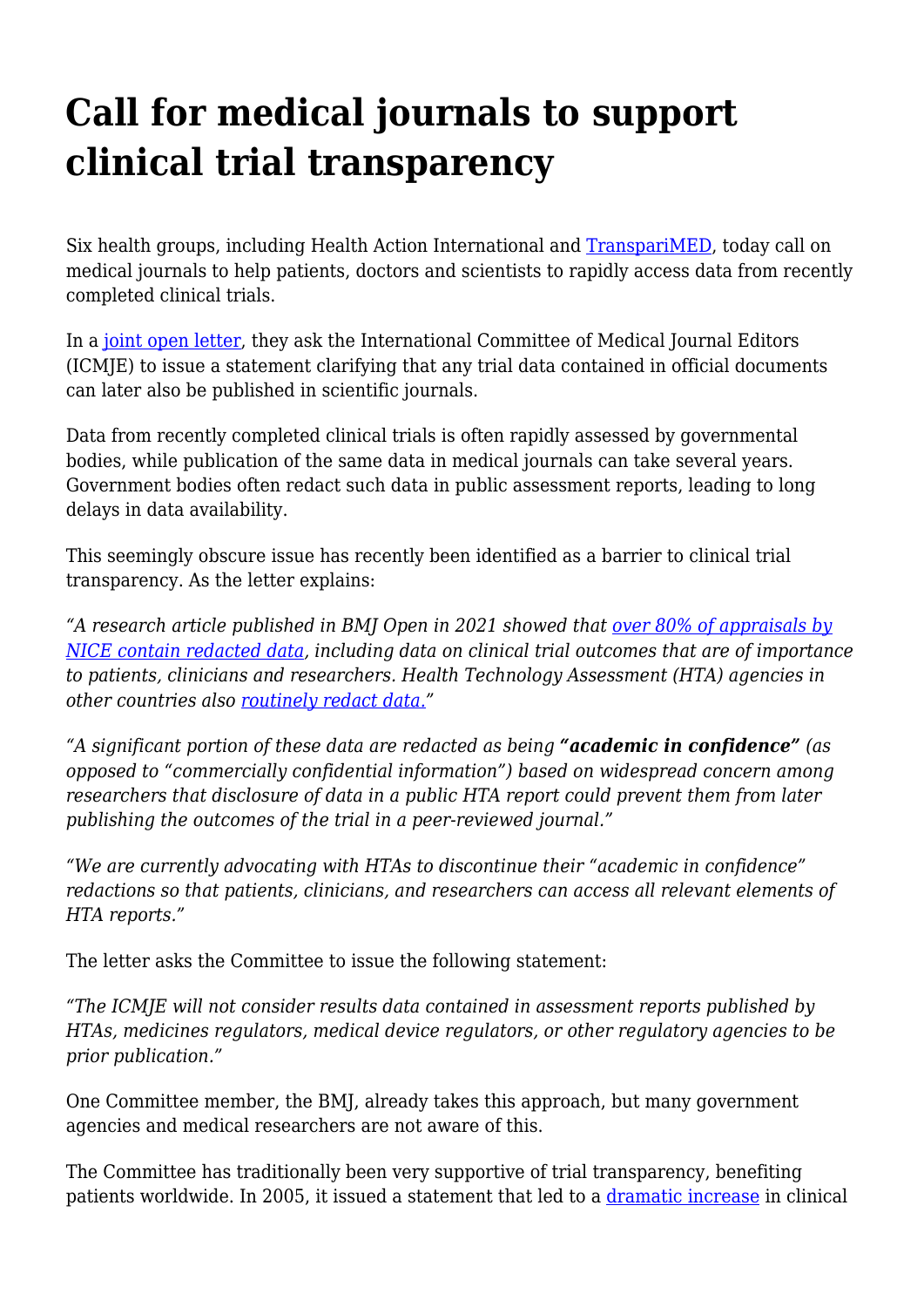## **Call for medical journals to support clinical trial transparency**

Six health groups, including Health Action International and [TranspariMED,](https://www.transparimed.org/) today call on medical journals to help patients, doctors and scientists to rapidly access data from recently completed clinical trials.

In a [joint open letter](https://haiweb.org/wp-content/uploads/2022/01/Open-Letter-to-ICMJE-2022.pdf), they ask the International Committee of Medical Journal Editors (ICMJE) to issue a statement clarifying that any trial data contained in official documents can later also be published in scientific journals.

Data from recently completed clinical trials is often rapidly assessed by governmental bodies, while publication of the same data in medical journals can take several years. Government bodies often redact such data in public assessment reports, leading to long delays in data availability.

This seemingly obscure issue has recently been identified as a barrier to clinical trial transparency. As the letter explains:

*"A research article published in BMJ Open in 2021 showed that [over 80% of appraisals by](https://bmjopen.bmj.com/content/11/10/e051812.abstract) [NICE contain redacted data](https://bmjopen.bmj.com/content/11/10/e051812.abstract), including data on clinical trial outcomes that are of importance to patients, clinicians and researchers. Health Technology Assessment (HTA) agencies in other countries also [routinely redact data.](https://www.ncbi.nlm.nih.gov/pmc/articles/PMC4727332/)"*

*"A significant portion of these data are redacted as being "academic in confidence" (as opposed to "commercially confidential information") based on widespread concern among researchers that disclosure of data in a public HTA report could prevent them from later publishing the outcomes of the trial in a peer-reviewed journal."*

*"We are currently advocating with HTAs to discontinue their "academic in confidence" redactions so that patients, clinicians, and researchers can access all relevant elements of HTA reports."*

The letter asks the Committee to issue the following statement:

*"The ICMJE will not consider results data contained in assessment reports published by HTAs, medicines regulators, medical device regulators, or other regulatory agencies to be prior publication."*

One Committee member, the BMJ, already takes this approach, but many government agencies and medical researchers are not aware of this.

The Committee has traditionally been very supportive of trial transparency, benefiting patients worldwide. In 2005, it issued a statement that led to a [dramatic increase](http://www.icmje.org/news-and-editorials/clincial_trial_reg_jun2007.html) in clinical